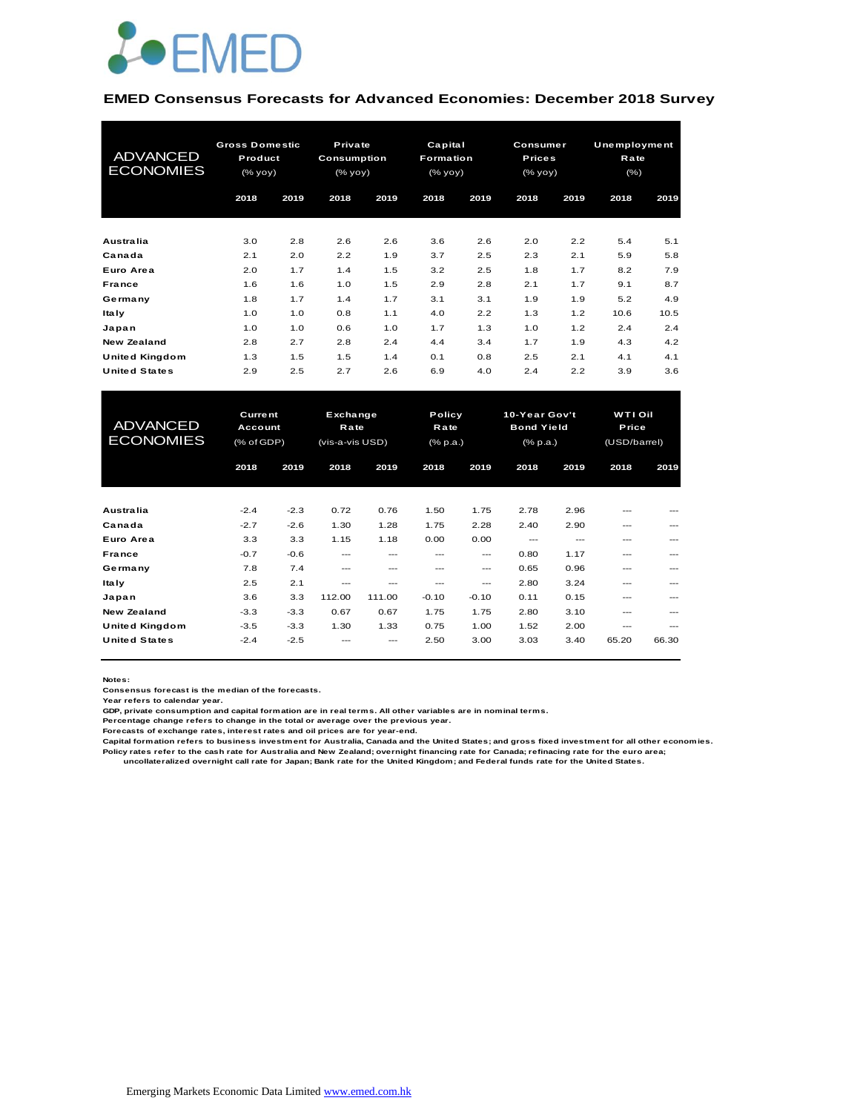

#### **EMED Consensus Forecasts for Advanced Economies: December 2018 Survey**

| <b>ADVANCED</b><br><b>ECONOMIES</b> | <b>Gross Domestic</b><br>Product<br>(% yoy) |      | Private<br><b>Consumption</b><br>(% yoy) |      | Capital<br>Formation<br>(% |      | <b>Consumer</b><br><b>Prices</b><br>(% yoy) |      | Unemployment<br>Rate<br>(% ) |      |
|-------------------------------------|---------------------------------------------|------|------------------------------------------|------|----------------------------|------|---------------------------------------------|------|------------------------------|------|
|                                     | 2018                                        | 2019 | 2018                                     | 2019 | 2018                       | 2019 | 2018                                        | 2019 | 2018                         | 2019 |
| Australia                           | 3.0                                         | 2.8  | 2.6                                      | 2.6  | 3.6                        | 2.6  | 2.0                                         | 2.2  | 5.4                          | 5.1  |
| Canada                              | 2.1                                         | 2.0  | 2.2                                      | 1.9  | 3.7                        | 2.5  | 2.3                                         | 2.1  | 5.9                          | 5.8  |
| Euro Area                           | 2.0                                         | 1.7  | 1.4                                      | 1.5  | 3.2                        | 2.5  | 1.8                                         | 1.7  | 8.2                          | 7.9  |
| France                              | 1.6                                         | 1.6  | 1.0                                      | 1.5  | 2.9                        | 2.8  | 2.1                                         | 1.7  | 9.1                          | 8.7  |
| Germany                             | 1.8                                         | 1.7  | 1.4                                      | 1.7  | 3.1                        | 3.1  | 1.9                                         | 1.9  | 5.2                          | 4.9  |
| <b>Italy</b>                        | 1.0                                         | 1.0  | 0.8                                      | 1.1  | 4.0                        | 2.2  | 1.3                                         | 1.2  | 10.6                         | 10.5 |
| Japan                               | 1.0                                         | 1.0  | 0.6                                      | 1.0  | 1.7                        | 1.3  | 1.0                                         | 1.2  | 2.4                          | 2.4  |
| New Zealand                         | 2.8                                         | 2.7  | 2.8                                      | 2.4  | 4.4                        | 3.4  | 1.7                                         | 1.9  | 4.3                          | 4.2  |
| <b>United Kingdom</b>               | 1.3                                         | 1.5  | 1.5                                      | 1.4  | 0.1                        | 0.8  | 2.5                                         | 2.1  | 4.1                          | 4.1  |
| <b>United States</b>                | 2.9                                         | 2.5  | 2.7                                      | 2.6  | 6.9                        | 4.0  | 2.4                                         | 2.2  | 3.9                          | 3.6  |

| <b>United Kingdom</b>               | 1.3                                     | 1.5    | 1.5                                 | 1.4    | 0.1     | 0.8                               | 2.5   | 2.1                                                   | 4.1   | 4.1                              |  |
|-------------------------------------|-----------------------------------------|--------|-------------------------------------|--------|---------|-----------------------------------|-------|-------------------------------------------------------|-------|----------------------------------|--|
| <b>United States</b>                | 2.9                                     | 2.5    | 2.7                                 | 2.6    | 6.9     | 4.0                               | 2.4   | 2.2                                                   | 3.9   | 3.6                              |  |
|                                     |                                         |        |                                     |        |         |                                   |       |                                                       |       |                                  |  |
| <b>ADVANCED</b><br><b>ECONOMIES</b> | <b>Current</b><br>Account<br>(% of GDP) |        | Exchange<br>Rate<br>(vis-a-vis USD) |        |         | Policy<br>Rate<br>$(%$ $(% p.a.)$ |       | 10-Year Gov't<br><b>Bond Yield</b><br>$(%$ $(% p.a.)$ |       | WTI Oil<br>Price<br>(USD/barrel) |  |
|                                     | 2018                                    | 2019   | 2018                                | 2019   | 2018    | 2019                              | 2018  | 2019                                                  | 2018  | 2019                             |  |
|                                     |                                         |        |                                     |        |         |                                   |       |                                                       |       |                                  |  |
| Australia                           | $-2.4$                                  | $-2.3$ | 0.72                                | 0.76   | 1.50    | 1.75                              | 2.78  | 2.96                                                  | ---   |                                  |  |
| Canada                              | $-2.7$                                  | $-2.6$ | 1.30                                | 1.28   | 1.75    | 2.28                              | 2.40  | 2.90                                                  | ---   |                                  |  |
| Euro Area                           | 3.3                                     | 3.3    | 1.15                                | 1.18   | 0.00    | 0.00                              | $---$ | $---$                                                 | ---   |                                  |  |
| France                              | $-0.7$                                  | $-0.6$ | $---$                               | $---$  | $---$   | ---                               | 0.80  | 1.17                                                  | ---   | ---                              |  |
| Germany                             | 7.8                                     | 7.4    | $---$                               | $---$  | $- - -$ | ---                               | 0.65  | 0.96                                                  | ---   | ---                              |  |
| <b>Italy</b>                        | 2.5                                     | 2.1    | $---$                               | $---$  | $---$   | ---                               | 2.80  | 3.24                                                  | ---   | ---                              |  |
| Japan                               | 3.6                                     | 3.3    | 112.00                              | 111.00 | $-0.10$ | $-0.10$                           | 0.11  | 0.15                                                  | ---   |                                  |  |
| <b>New Zealand</b>                  | $-3.3$                                  | $-3.3$ | 0.67                                | 0.67   | 1.75    | 1.75                              | 2.80  | 3.10                                                  | ---   |                                  |  |
| <b>United Kingdom</b>               | $-3.5$                                  | $-3.3$ | 1.30                                | 1.33   | 0.75    | 1.00                              | 1.52  | 2.00                                                  | ---   | ---                              |  |
| <b>United States</b>                | $-2.4$                                  | $-2.5$ |                                     | $---$  | 2.50    | 3.00                              | 3.03  | 3.40                                                  | 65.20 | 66.30                            |  |

**Notes:** 

**Consensus forecast is the median of the forecasts.**

**Year refers to calendar year.**

**GDP, private consumption and capital formation are in real terms. All other variables are in nominal terms.**

**Percentage change refers to change in the total or average over the previous year. Forecasts of exchange rates, interest rates and oil prices are for year-end.**

**Capital formation refers to business investment for Australia, Canada and the United States; and gross fixed investment for all other economies. Policy rates refer to the cash rate for Australia and New Zealand; overnight financing rate for Canada; refinacing rate for the euro area;** 

 **uncollateralized overnight call rate for Japan; Bank rate for the United Kingdom; and Federal funds rate for the United States.**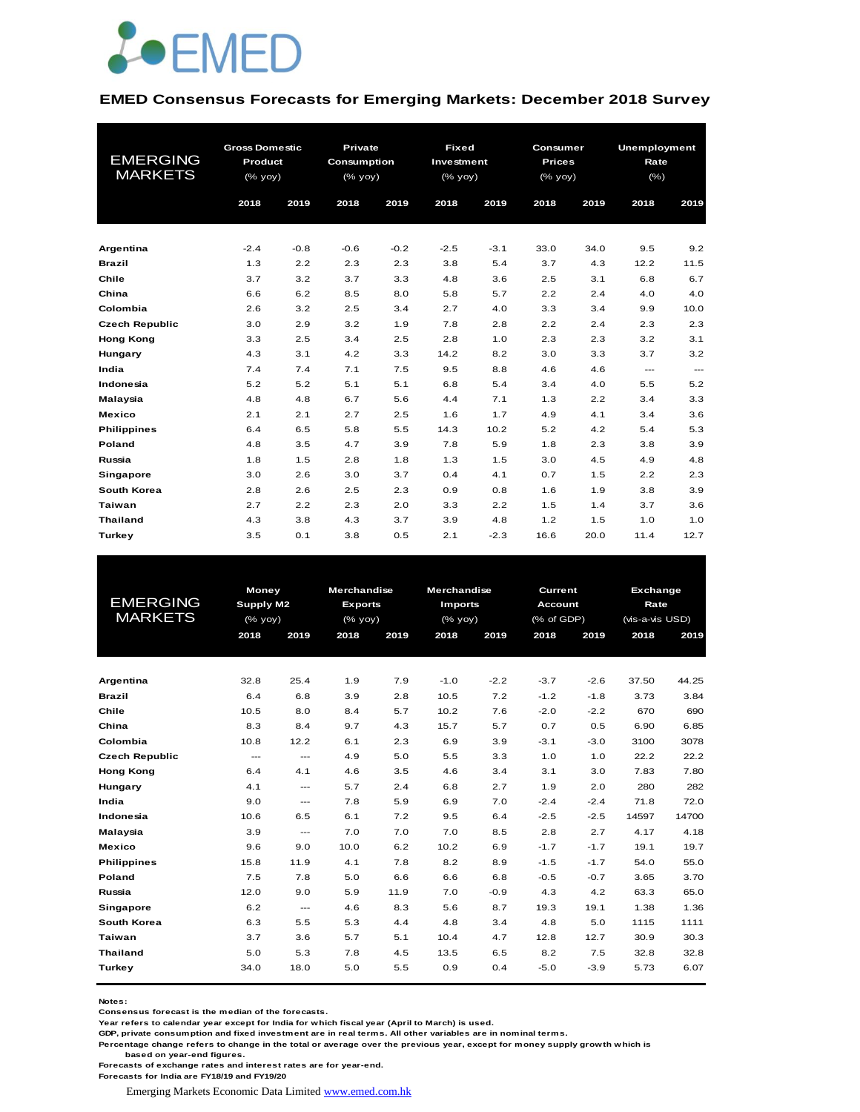

#### **EMED Consensus Forecasts for Emerging Markets: December 2018 Survey**

|                       | <b>Gross Domestic</b> |        | Private     |        | <b>Fixed</b> |        | Consumer      |      | <b>Unemployment</b> |          |  |
|-----------------------|-----------------------|--------|-------------|--------|--------------|--------|---------------|------|---------------------|----------|--|
| <b>EMERGING</b>       | Product               |        | Consumption |        | Investment   |        | <b>Prices</b> |      | Rate                |          |  |
| <b>MARKETS</b>        | (% yoy)               |        | (% yoy)     |        | $(%$ (% yoy) |        | (% yoy)       |      | $(\% )$             |          |  |
|                       | 2018                  | 2019   | 2018        | 2019   | 2018         | 2019   | 2018          | 2019 | 2018                | 2019     |  |
|                       |                       |        |             |        |              |        |               |      |                     |          |  |
|                       |                       |        |             |        |              |        |               |      |                     |          |  |
| Argentina             | $-2.4$                | $-0.8$ | $-0.6$      | $-0.2$ | $-2.5$       | $-3.1$ | 33.0          | 34.0 | 9.5                 | 9.2      |  |
| <b>Brazil</b>         | 1.3                   | 2.2    | 2.3         | 2.3    | 3.8          | 5.4    | 3.7           | 4.3  | 12.2                | 11.5     |  |
| Chile                 | 3.7                   | 3.2    | 3.7         | 3.3    | 4.8          | 3.6    | 2.5           | 3.1  | 6.8                 | 6.7      |  |
| China                 | 6.6                   | 6.2    | 8.5         | 8.0    | 5.8          | 5.7    | 2.2           | 2.4  | 4.0                 | 4.0      |  |
| Colombia              | 2.6                   | 3.2    | 2.5         | 3.4    | 2.7          | 4.0    | 3.3           | 3.4  | 9.9                 | 10.0     |  |
| <b>Czech Republic</b> | 3.0                   | 2.9    | 3.2         | 1.9    | 7.8          | 2.8    | 2.2           | 2.4  | 2.3                 | 2.3      |  |
| <b>Hong Kong</b>      | 3.3                   | 2.5    | 3.4         | 2.5    | 2.8          | 1.0    | 2.3           | 2.3  | 3.2                 | 3.1      |  |
| Hungary               | 4.3                   | 3.1    | 4.2         | 3.3    | 14.2         | 8.2    | 3.0           | 3.3  | 3.7                 | 3.2      |  |
| India                 | 7.4                   | 7.4    | 7.1         | 7.5    | 9.5          | 8.8    | 4.6           | 4.6  | $\cdots$            | $\cdots$ |  |
| Indonesia             | 5.2                   | 5.2    | 5.1         | 5.1    | 6.8          | 5.4    | 3.4           | 4.0  | 5.5                 | 5.2      |  |
| Malaysia              | 4.8                   | 4.8    | 6.7         | 5.6    | 4.4          | 7.1    | 1.3           | 2.2  | 3.4                 | 3.3      |  |
| <b>Mexico</b>         | 2.1                   | 2.1    | 2.7         | 2.5    | 1.6          | 1.7    | 4.9           | 4.1  | 3.4                 | 3.6      |  |
| <b>Philippines</b>    | 6.4                   | 6.5    | 5.8         | 5.5    | 14.3         | 10.2   | 5.2           | 4.2  | 5.4                 | 5.3      |  |
| Poland                | 4.8                   | 3.5    | 4.7         | 3.9    | 7.8          | 5.9    | 1.8           | 2.3  | 3.8                 | 3.9      |  |
| Russia                | 1.8                   | 1.5    | 2.8         | 1.8    | 1.3          | 1.5    | 3.0           | 4.5  | 4.9                 | 4.8      |  |
| Singapore             | 3.0                   | 2.6    | 3.0         | 3.7    | 0.4          | 4.1    | 0.7           | 1.5  | 2.2                 | 2.3      |  |
| South Korea           | 2.8                   | 2.6    | 2.5         | 2.3    | 0.9          | 0.8    | 1.6           | 1.9  | 3.8                 | 3.9      |  |
| Taiwan                | 2.7                   | 2.2    | 2.3         | 2.0    | 3.3          | 2.2    | 1.5           | 1.4  | 3.7                 | 3.6      |  |
| <b>Thailand</b>       | 4.3                   | 3.8    | 4.3         | 3.7    | 3.9          | 4.8    | 1.2           | 1.5  | 1.0                 | 1.0      |  |
| <b>Turkey</b>         | 3.5                   | 0.1    | 3.8         | 0.5    | 2.1          | $-2.3$ | 16.6          | 20.0 | 11.4                | 12.7     |  |

|                       | Money            |               | <b>Merchandise</b> |      | <b>Merchandise</b> |        | Current        |        |       |                                                                                                                                   |  |
|-----------------------|------------------|---------------|--------------------|------|--------------------|--------|----------------|--------|-------|-----------------------------------------------------------------------------------------------------------------------------------|--|
| EMERGING              | <b>Supply M2</b> |               | <b>Exports</b>     |      | <b>Imports</b>     |        | <b>Account</b> |        |       | <b>Exchange</b><br>Rate<br>(vis-a-vis USD)<br>2018<br>2019<br>37.50<br>3.73<br>670<br>6.90<br>3100<br>22.2<br>7.83<br>280<br>71.8 |  |
| <b>MARKETS</b>        | (% yoy)          |               | (% yoy)            |      | (% yoy)            |        | (% of GDP)     |        |       |                                                                                                                                   |  |
|                       | 2018             | 2019          | 2018               | 2019 | 2018               | 2019   | 2018           | 2019   |       |                                                                                                                                   |  |
|                       |                  |               |                    |      |                    |        |                |        |       |                                                                                                                                   |  |
|                       |                  |               |                    |      |                    |        |                |        |       |                                                                                                                                   |  |
| Argentina             | 32.8             | 25.4          | 1.9                | 7.9  | $-1.0$             | $-2.2$ | $-3.7$         | $-2.6$ |       | 44.25                                                                                                                             |  |
| <b>Brazil</b>         | 6.4              | 6.8           | 3.9                | 2.8  | 10.5               | 7.2    | $-1.2$         | $-1.8$ |       | 3.84                                                                                                                              |  |
| Chile                 | 10.5             | 8.0           | 8.4                | 5.7  | 10.2               | 7.6    | $-2.0$         | $-2.2$ |       | 690                                                                                                                               |  |
| China                 | 8.3              | 8.4           | 9.7                | 4.3  | 15.7               | 5.7    | 0.7            | 0.5    |       | 6.85                                                                                                                              |  |
| Colombia              | 10.8             | 12.2          | 6.1                | 2.3  | 6.9                | 3.9    | $-3.1$         | $-3.0$ |       | 3078                                                                                                                              |  |
| <b>Czech Republic</b> | $\sim$ $\sim$    | $\frac{1}{2}$ | 4.9                | 5.0  | 5.5                | 3.3    | 1.0            | 1.0    |       | 22.2                                                                                                                              |  |
| <b>Hong Kong</b>      | 6.4              | 4.1           | 4.6                | 3.5  | 4.6                | 3.4    | 3.1            | 3.0    |       | 7.80                                                                                                                              |  |
| Hungary               | 4.1              | ---           | 5.7                | 2.4  | 6.8                | 2.7    | 1.9            | 2.0    |       | 282                                                                                                                               |  |
| India                 | 9.0              | $---$         | 7.8                | 5.9  | 6.9                | 7.0    | $-2.4$         | $-2.4$ |       | 72.0                                                                                                                              |  |
| Indonesia             | 10.6             | 6.5           | 6.1                | 7.2  | 9.5                | 6.4    | $-2.5$         | $-2.5$ | 14597 | 14700                                                                                                                             |  |
| Malaysia              | 3.9              | ---           | 7.0                | 7.0  | 7.0                | 8.5    | 2.8            | 2.7    | 4.17  | 4.18                                                                                                                              |  |
| <b>Mexico</b>         | 9.6              | 9.0           | 10.0               | 6.2  | 10.2               | 6.9    | $-1.7$         | $-1.7$ | 19.1  | 19.7                                                                                                                              |  |
| <b>Philippines</b>    | 15.8             | 11.9          | 4.1                | 7.8  | 8.2                | 8.9    | $-1.5$         | $-1.7$ | 54.0  | 55.0                                                                                                                              |  |
| Poland                | 7.5              | 7.8           | 5.0                | 6.6  | 6.6                | 6.8    | $-0.5$         | $-0.7$ | 3.65  | 3.70                                                                                                                              |  |
| Russia                | 12.0             | 9.0           | 5.9                | 11.9 | 7.0                | $-0.9$ | 4.3            | 4.2    | 63.3  | 65.0                                                                                                                              |  |
| Singapore             | 6.2              | ---           | 4.6                | 8.3  | 5.6                | 8.7    | 19.3           | 19.1   | 1.38  | 1.36                                                                                                                              |  |
| South Korea           | 6.3              | 5.5           | 5.3                | 4.4  | 4.8                | 3.4    | 4.8            | 5.0    | 1115  | 1111                                                                                                                              |  |
| Taiwan                | 3.7              | 3.6           | 5.7                | 5.1  | 10.4               | 4.7    | 12.8           | 12.7   | 30.9  | 30.3                                                                                                                              |  |
| <b>Thailand</b>       | 5.0              | 5.3           | 7.8                | 4.5  | 13.5               | 6.5    | 8.2            | 7.5    | 32.8  | 32.8                                                                                                                              |  |
| Turkey                | 34.0             | 18.0          | 5.0                | 5.5  | 0.9                | 0.4    | $-5.0$         | $-3.9$ | 5.73  | 6.07                                                                                                                              |  |
|                       |                  |               |                    |      |                    |        |                |        |       |                                                                                                                                   |  |

**Notes:** 

**Consensus forecast is the median of the forecasts.**

**Year refers to calendar year except for India for which fiscal year (April to March) is used.**

**GDP, private consumption and fixed investment are in real terms. All other variables are in nominal terms.**

**Percentage change refers to change in the total or average over the previous year, except for money supply growth which is based on year-end figures.**

**Forecasts of exchange rates and interest rates are for year-end.**

**Forecasts for India are FY18/19 and FY19/20**

Emerging Markets Economic Data Limited www.emed.com.hk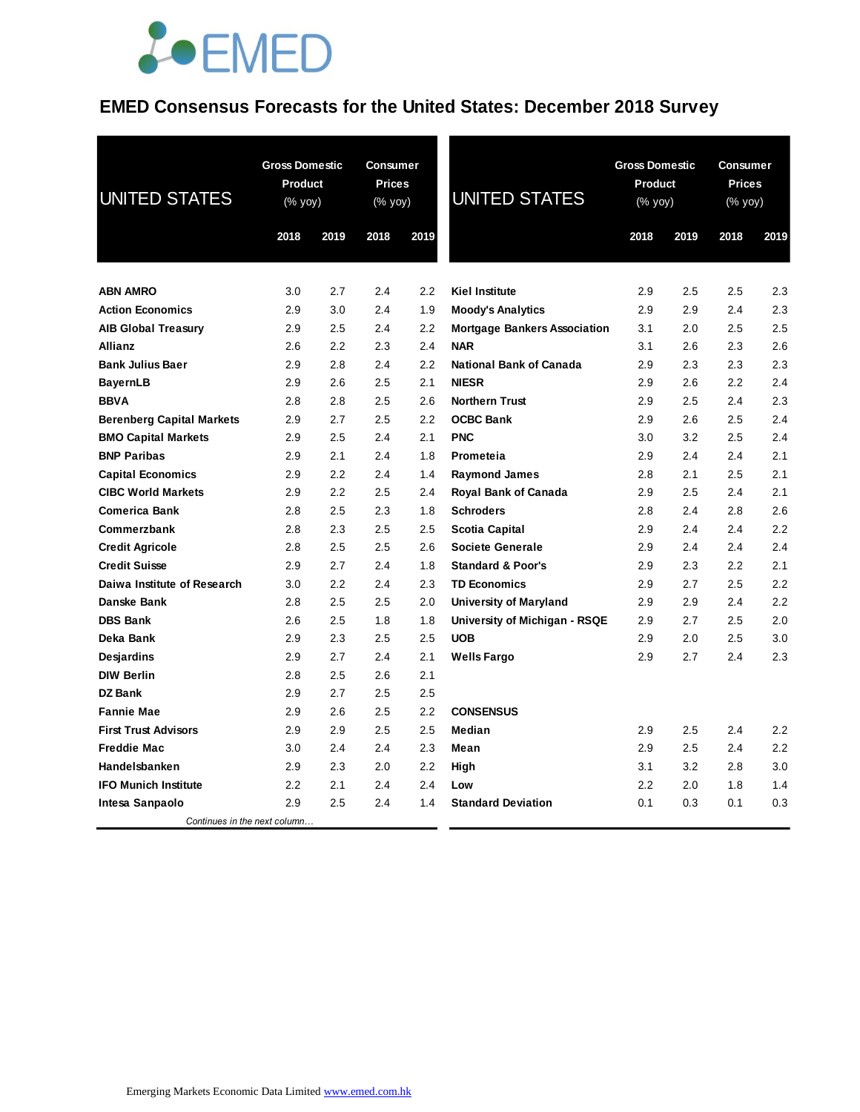## **JOEMED**

### **EMED Consensus Forecasts for the United States: December 2018 Survey**

| <b>UNITED STATES</b>             | <b>Gross Domestic</b><br>Product<br>(% yoy) |      | <b>Consumer</b><br><b>Prices</b><br>(% yoy) |         | <b>UNITED STATES</b>                | <b>Gross Domestic</b><br><b>Product</b><br>(% yoy) |      | <b>Consumer</b><br><b>Prices</b><br>(% yoy) |      |
|----------------------------------|---------------------------------------------|------|---------------------------------------------|---------|-------------------------------------|----------------------------------------------------|------|---------------------------------------------|------|
|                                  | 2018                                        | 2019 | 2018                                        | 2019    |                                     | 2018                                               | 2019 | 2018                                        | 2019 |
| <b>ABN AMRO</b>                  | 3.0                                         | 2.7  | 2.4                                         | 2.2     | <b>Kiel Institute</b>               | 2.9                                                | 2.5  | 2.5                                         | 2.3  |
| <b>Action Economics</b>          | 2.9                                         | 3.0  | 2.4                                         | 1.9     | <b>Moody's Analytics</b>            | 2.9                                                | 2.9  | 2.4                                         | 2.3  |
| <b>AIB Global Treasury</b>       | 2.9                                         | 2.5  | 2.4                                         | 2.2     | <b>Mortgage Bankers Association</b> | 3.1                                                | 2.0  | 2.5                                         | 2.5  |
| Allianz                          | 2.6                                         | 2.2  | 2.3                                         | 2.4     | <b>NAR</b>                          | 3.1                                                | 2.6  | 2.3                                         | 2.6  |
| <b>Bank Julius Baer</b>          | 2.9                                         | 2.8  | 2.4                                         | $2.2\,$ | <b>National Bank of Canada</b>      | 2.9                                                | 2.3  | 2.3                                         | 2.3  |
| <b>BayernLB</b>                  | 2.9                                         | 2.6  | $2.5\,$                                     | 2.1     | <b>NIESR</b>                        | 2.9                                                | 2.6  | $2.2\phantom{0}$                            | 2.4  |
| <b>BBVA</b>                      | 2.8                                         | 2.8  | 2.5                                         | 2.6     | <b>Northern Trust</b>               | 2.9                                                | 2.5  | 2.4                                         | 2.3  |
| <b>Berenberg Capital Markets</b> | 2.9                                         | 2.7  | 2.5                                         | 2.2     | <b>OCBC Bank</b>                    | 2.9                                                | 2.6  | 2.5                                         | 2.4  |
| <b>BMO Capital Markets</b>       | 2.9                                         | 2.5  | 2.4                                         | 2.1     | <b>PNC</b>                          | 3.0                                                | 3.2  | 2.5                                         | 2.4  |
| <b>BNP Paribas</b>               | 2.9                                         | 2.1  | 2.4                                         | 1.8     | Prometeia                           | 2.9                                                | 2.4  | 2.4                                         | 2.1  |
| <b>Capital Economics</b>         | 2.9                                         | 2.2  | 2.4                                         | 1.4     | <b>Raymond James</b>                | 2.8                                                | 2.1  | 2.5                                         | 2.1  |
| <b>CIBC World Markets</b>        | 2.9                                         | 2.2  | 2.5                                         | 2.4     | Royal Bank of Canada                | 2.9                                                | 2.5  | 2.4                                         | 2.1  |
| <b>Comerica Bank</b>             | 2.8                                         | 2.5  | 2.3                                         | 1.8     | <b>Schroders</b>                    | 2.8                                                | 2.4  | 2.8                                         | 2.6  |
| Commerzbank                      | 2.8                                         | 2.3  | 2.5                                         | 2.5     | Scotia Capital                      | 2.9                                                | 2.4  | 2.4                                         | 2.2  |
| <b>Credit Agricole</b>           | 2.8                                         | 2.5  | 2.5                                         | 2.6     | <b>Societe Generale</b>             | 2.9                                                | 2.4  | 2.4                                         | 2.4  |
| <b>Credit Suisse</b>             | 2.9                                         | 2.7  | 2.4                                         | 1.8     | <b>Standard &amp; Poor's</b>        | 2.9                                                | 2.3  | 2.2                                         | 2.1  |
| Daiwa Institute of Research      | 3.0                                         | 2.2  | 2.4                                         | 2.3     | <b>TD Economics</b>                 | 2.9                                                | 2.7  | 2.5                                         | 2.2  |
| Danske Bank                      | 2.8                                         | 2.5  | 2.5                                         | 2.0     | <b>University of Maryland</b>       | 2.9                                                | 2.9  | 2.4                                         | 2.2  |
| <b>DBS Bank</b>                  | 2.6                                         | 2.5  | 1.8                                         | 1.8     | University of Michigan - RSQE       | 2.9                                                | 2.7  | 2.5                                         | 2.0  |
| Deka Bank                        | 2.9                                         | 2.3  | 2.5                                         | 2.5     | <b>UOB</b>                          | 2.9                                                | 2.0  | 2.5                                         | 3.0  |
| <b>Desjardins</b>                | 2.9                                         | 2.7  | 2.4                                         | 2.1     | <b>Wells Fargo</b>                  | 2.9                                                | 2.7  | 2.4                                         | 2.3  |
| <b>DIW Berlin</b>                | 2.8                                         | 2.5  | 2.6                                         | 2.1     |                                     |                                                    |      |                                             |      |
| <b>DZ Bank</b>                   | 2.9                                         | 2.7  | 2.5                                         | 2.5     |                                     |                                                    |      |                                             |      |
| <b>Fannie Mae</b>                | 2.9                                         | 2.6  | 2.5                                         | 2.2     | <b>CONSENSUS</b>                    |                                                    |      |                                             |      |
| <b>First Trust Advisors</b>      | 2.9                                         | 2.9  | 2.5                                         | 2.5     | Median                              | 2.9                                                | 2.5  | 2.4                                         | 2.2  |
| <b>Freddie Mac</b>               | 3.0                                         | 2.4  | 2.4                                         | 2.3     | Mean                                | 2.9                                                | 2.5  | 2.4                                         | 2.2  |
| Handelsbanken                    | 2.9                                         | 2.3  | 2.0                                         | 2.2     | High                                | 3.1                                                | 3.2  | 2.8                                         | 3.0  |
| <b>IFO Munich Institute</b>      | 2.2                                         | 2.1  | 2.4                                         | 2.4     | Low                                 | 2.2                                                | 2.0  | 1.8                                         | 1.4  |
| Intesa Sanpaolo                  | 2.9                                         | 2.5  | 2.4                                         | 1.4     | <b>Standard Deviation</b>           | 0.1                                                | 0.3  | 0.1                                         | 0.3  |
| Continues in the next column     |                                             |      |                                             |         |                                     |                                                    |      |                                             |      |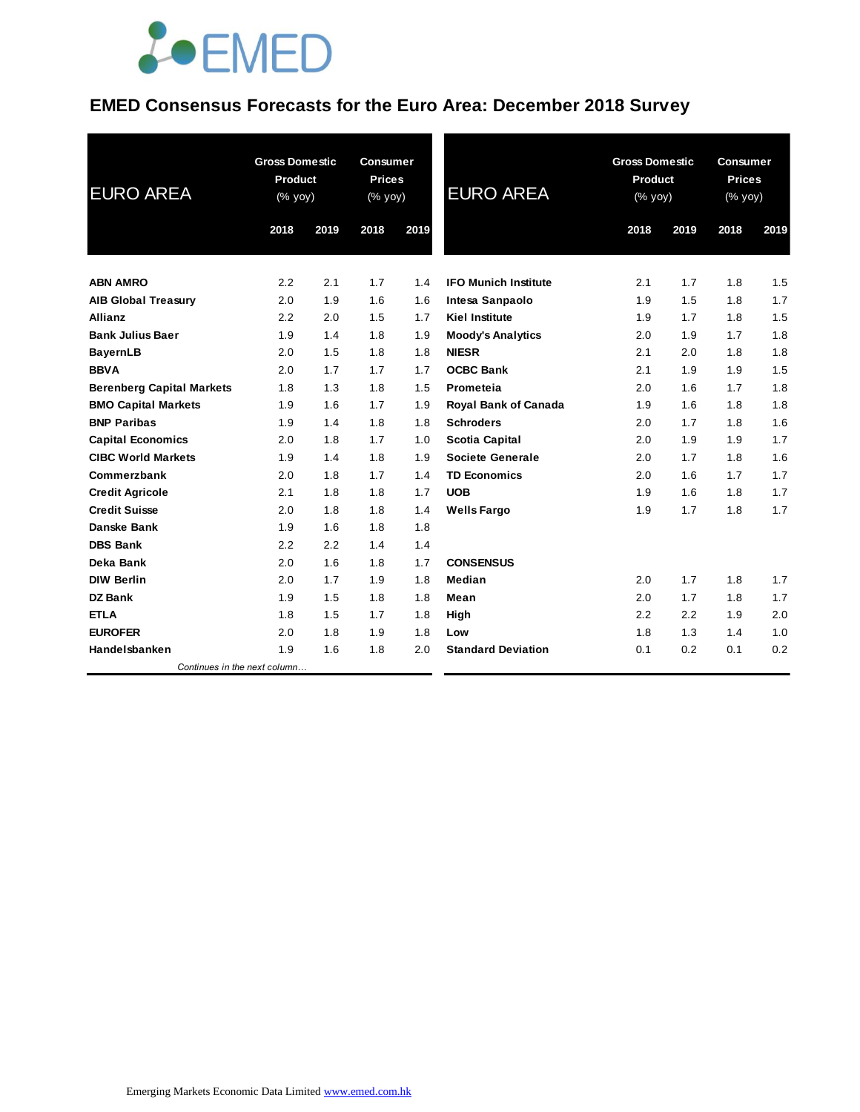

### **EMED Consensus Forecasts for the Euro Area: December 2018 Survey**

| <b>EURO AREA</b>                 | <b>Gross Domestic</b><br>Product<br>(% yoy) |      | <b>Consumer</b><br><b>Prices</b><br>(% yoy) |      | <b>EURO AREA</b>            | <b>Gross Domestic</b><br><b>Product</b><br>(% yoy) |      | <b>Consumer</b><br><b>Prices</b><br>(% yoy) |      |
|----------------------------------|---------------------------------------------|------|---------------------------------------------|------|-----------------------------|----------------------------------------------------|------|---------------------------------------------|------|
|                                  | 2018                                        | 2019 | 2018                                        | 2019 |                             | 2018                                               | 2019 | 2018                                        | 2019 |
| <b>ABN AMRO</b>                  | 2.2                                         | 2.1  | 1.7                                         | 1.4  | <b>IFO Munich Institute</b> | 2.1                                                | 1.7  | 1.8                                         | 1.5  |
| <b>AIB Global Treasury</b>       | 2.0                                         | 1.9  | 1.6                                         | 1.6  | Intesa Sanpaolo             | 1.9                                                | 1.5  | 1.8                                         | 1.7  |
| <b>Allianz</b>                   | 2.2                                         | 2.0  | 1.5                                         | 1.7  | <b>Kiel Institute</b>       | 1.9                                                | 1.7  | 1.8                                         | 1.5  |
| <b>Bank Julius Baer</b>          | 1.9                                         | 1.4  | 1.8                                         | 1.9  | <b>Moody's Analytics</b>    | 2.0                                                | 1.9  | 1.7                                         | 1.8  |
| <b>BayernLB</b>                  | 2.0                                         | 1.5  | 1.8                                         | 1.8  | <b>NIESR</b>                | 2.1                                                | 2.0  | 1.8                                         | 1.8  |
| <b>BBVA</b>                      | 2.0                                         | 1.7  | 1.7                                         | 1.7  | <b>OCBC Bank</b>            | 2.1                                                | 1.9  | 1.9                                         | 1.5  |
| <b>Berenberg Capital Markets</b> | 1.8                                         | 1.3  | 1.8                                         | 1.5  | Prometeia                   | 2.0                                                | 1.6  | 1.7                                         | 1.8  |
| <b>BMO Capital Markets</b>       | 1.9                                         | 1.6  | 1.7                                         | 1.9  | <b>Royal Bank of Canada</b> | 1.9                                                | 1.6  | 1.8                                         | 1.8  |
| <b>BNP Paribas</b>               | 1.9                                         | 1.4  | 1.8                                         | 1.8  | <b>Schroders</b>            | 2.0                                                | 1.7  | 1.8                                         | 1.6  |
| <b>Capital Economics</b>         | 2.0                                         | 1.8  | 1.7                                         | 1.0  | <b>Scotia Capital</b>       | 2.0                                                | 1.9  | 1.9                                         | 1.7  |
| <b>CIBC World Markets</b>        | 1.9                                         | 1.4  | 1.8                                         | 1.9  | Societe Generale            | 2.0                                                | 1.7  | 1.8                                         | 1.6  |
| Commerzbank                      | 2.0                                         | 1.8  | 1.7                                         | 1.4  | <b>TD Economics</b>         | 2.0                                                | 1.6  | 1.7                                         | 1.7  |
| <b>Credit Agricole</b>           | 2.1                                         | 1.8  | 1.8                                         | 1.7  | <b>UOB</b>                  | 1.9                                                | 1.6  | 1.8                                         | 1.7  |
| <b>Credit Suisse</b>             | 2.0                                         | 1.8  | 1.8                                         | 1.4  | <b>Wells Fargo</b>          | 1.9                                                | 1.7  | 1.8                                         | 1.7  |
| <b>Danske Bank</b>               | 1.9                                         | 1.6  | 1.8                                         | 1.8  |                             |                                                    |      |                                             |      |
| <b>DBS Bank</b>                  | 2.2                                         | 2.2  | 1.4                                         | 1.4  |                             |                                                    |      |                                             |      |
| Deka Bank                        | 2.0                                         | 1.6  | 1.8                                         | 1.7  | <b>CONSENSUS</b>            |                                                    |      |                                             |      |
| <b>DIW Berlin</b>                | 2.0                                         | 1.7  | 1.9                                         | 1.8  | Median                      | 2.0                                                | 1.7  | 1.8                                         | 1.7  |
| <b>DZ Bank</b>                   | 1.9                                         | 1.5  | 1.8                                         | 1.8  | Mean                        | 2.0                                                | 1.7  | 1.8                                         | 1.7  |
| <b>ETLA</b>                      | 1.8                                         | 1.5  | 1.7                                         | 1.8  | High                        | 2.2                                                | 2.2  | 1.9                                         | 2.0  |
| <b>EUROFER</b>                   | 2.0                                         | 1.8  | 1.9                                         | 1.8  | Low                         | 1.8                                                | 1.3  | 1.4                                         | 1.0  |
| Handelsbanken                    | 1.9                                         | 1.6  | 1.8                                         | 2.0  | <b>Standard Deviation</b>   | 0.1                                                | 0.2  | 0.1                                         | 0.2  |
| Continues in the next column     |                                             |      |                                             |      |                             |                                                    |      |                                             |      |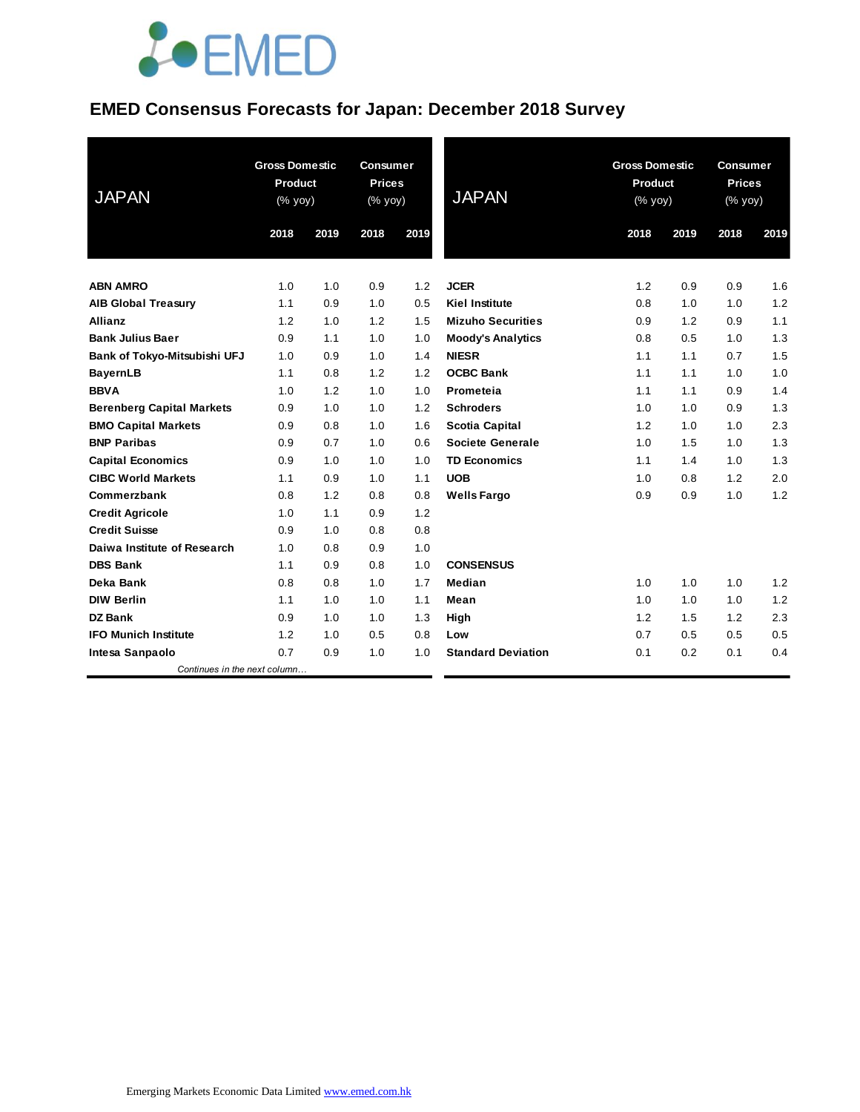# **JOEMED**

### **EMED Consensus Forecasts for Japan: December 2018 Survey**

| <b>JAPAN</b>                     | <b>Gross Domestic</b><br>Product<br>$(% \mathsf{y}\right)$ (% $\overline{\mathsf{y}}$ oy) |      | <b>Consumer</b><br><b>Prices</b><br>(% yoy) |      | <b>JAPAN</b>              | <b>Gross Domestic</b><br>Product<br>$(\%$ yoy) |      | <b>Consumer</b><br><b>Prices</b><br>(% yoy) |      |
|----------------------------------|-------------------------------------------------------------------------------------------|------|---------------------------------------------|------|---------------------------|------------------------------------------------|------|---------------------------------------------|------|
|                                  | 2018                                                                                      | 2019 | 2018                                        | 2019 |                           | 2018                                           | 2019 | 2018                                        | 2019 |
| <b>ABN AMRO</b>                  | 1.0                                                                                       | 1.0  | 0.9                                         | 1.2  | <b>JCER</b>               | 1.2                                            | 0.9  | 0.9                                         | 1.6  |
| <b>AIB Global Treasury</b>       | 1.1                                                                                       | 0.9  | 1.0                                         | 0.5  | <b>Kiel Institute</b>     | 0.8                                            | 1.0  | 1.0                                         | 1.2  |
| <b>Allianz</b>                   | 1.2                                                                                       | 1.0  | 1.2                                         | 1.5  | <b>Mizuho Securities</b>  | 0.9                                            | 1.2  | 0.9                                         | 1.1  |
| <b>Bank Julius Baer</b>          | 0.9                                                                                       | 1.1  | 1.0                                         | 1.0  | <b>Moody's Analytics</b>  | 0.8                                            | 0.5  | 1.0                                         | 1.3  |
| Bank of Tokyo-Mitsubishi UFJ     | 1.0                                                                                       | 0.9  | 1.0                                         | 1.4  | <b>NIESR</b>              | 1.1                                            | 1.1  | 0.7                                         | 1.5  |
| <b>BayernLB</b>                  | 1.1                                                                                       | 0.8  | 1.2                                         | 1.2  | <b>OCBC Bank</b>          | 1.1                                            | 1.1  | 1.0                                         | 1.0  |
| <b>BBVA</b>                      | 1.0                                                                                       | 1.2  | 1.0                                         | 1.0  | Prometeia                 | 1.1                                            | 1.1  | 0.9                                         | 1.4  |
| <b>Berenberg Capital Markets</b> | 0.9                                                                                       | 1.0  | 1.0                                         | 1.2  | <b>Schroders</b>          | 1.0                                            | 1.0  | 0.9                                         | 1.3  |
| <b>BMO Capital Markets</b>       | 0.9                                                                                       | 0.8  | 1.0                                         | 1.6  | <b>Scotia Capital</b>     | 1.2                                            | 1.0  | 1.0                                         | 2.3  |
| <b>BNP Paribas</b>               | 0.9                                                                                       | 0.7  | 1.0                                         | 0.6  | Societe Generale          | 1.0                                            | 1.5  | 1.0                                         | 1.3  |
| <b>Capital Economics</b>         | 0.9                                                                                       | 1.0  | 1.0                                         | 1.0  | <b>TD Economics</b>       | 1.1                                            | 1.4  | 1.0                                         | 1.3  |
| <b>CIBC World Markets</b>        | 1.1                                                                                       | 0.9  | 1.0                                         | 1.1  | <b>UOB</b>                | 1.0                                            | 0.8  | 1.2                                         | 2.0  |
| Commerzbank                      | 0.8                                                                                       | 1.2  | 0.8                                         | 0.8  | <b>Wells Fargo</b>        | 0.9                                            | 0.9  | 1.0                                         | 1.2  |
| <b>Credit Agricole</b>           | 1.0                                                                                       | 1.1  | 0.9                                         | 1.2  |                           |                                                |      |                                             |      |
| <b>Credit Suisse</b>             | 0.9                                                                                       | 1.0  | 0.8                                         | 0.8  |                           |                                                |      |                                             |      |
| Daiwa Institute of Research      | 1.0                                                                                       | 0.8  | 0.9                                         | 1.0  |                           |                                                |      |                                             |      |
| <b>DBS Bank</b>                  | 1.1                                                                                       | 0.9  | 0.8                                         | 1.0  | <b>CONSENSUS</b>          |                                                |      |                                             |      |
| Deka Bank                        | 0.8                                                                                       | 0.8  | 1.0                                         | 1.7  | Median                    | 1.0                                            | 1.0  | 1.0                                         | 1.2  |
| <b>DIW Berlin</b>                | 1.1                                                                                       | 1.0  | 1.0                                         | 1.1  | Mean                      | 1.0                                            | 1.0  | 1.0                                         | 1.2  |
| DZ Bank                          | 0.9                                                                                       | 1.0  | 1.0                                         | 1.3  | High                      | 1.2                                            | 1.5  | 1.2                                         | 2.3  |
| <b>IFO Munich Institute</b>      | 1.2                                                                                       | 1.0  | 0.5                                         | 0.8  | Low                       | 0.7                                            | 0.5  | 0.5                                         | 0.5  |
| Intesa Sanpaolo                  | 0.7                                                                                       | 0.9  | 1.0                                         | 1.0  | <b>Standard Deviation</b> | 0.1                                            | 0.2  | 0.1                                         | 0.4  |
| Continues in the next column     |                                                                                           |      |                                             |      |                           |                                                |      |                                             |      |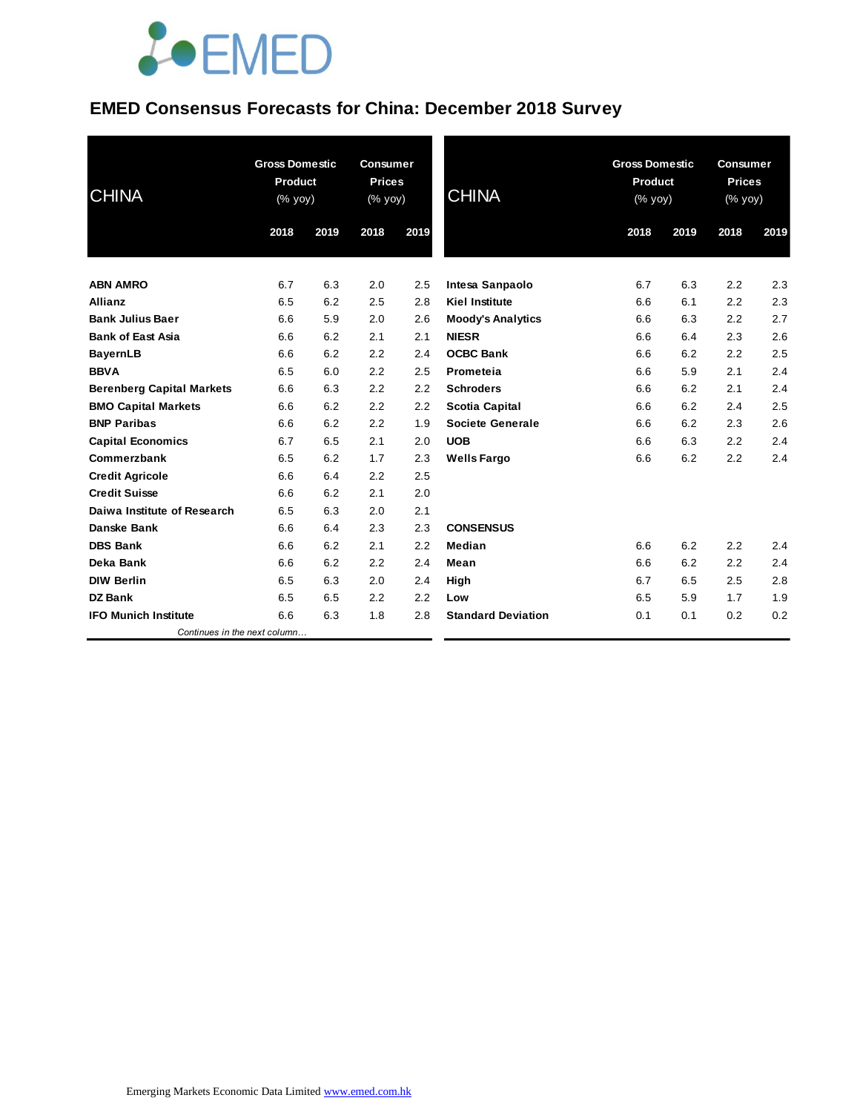# **JOEMED**

### **EMED Consensus Forecasts for China: December 2018 Survey**

| <b>CHINA</b>                     |      | <b>Gross Domestic</b><br>Product<br>(% yoy) |      | <b>Consumer</b><br><b>Prices</b><br>(% yoy) | <b>CHINA</b>              | <b>Gross Domestic</b><br><b>Product</b><br>(% yoy) |      | <b>Consumer</b><br><b>Prices</b><br>(% yoy) |      |
|----------------------------------|------|---------------------------------------------|------|---------------------------------------------|---------------------------|----------------------------------------------------|------|---------------------------------------------|------|
|                                  | 2018 | 2019                                        | 2018 | 2019                                        |                           | 2018                                               | 2019 | 2018                                        | 2019 |
| <b>ABN AMRO</b>                  | 6.7  | 6.3                                         | 2.0  | 2.5                                         | Intesa Sanpaolo           | 6.7                                                | 6.3  | 2.2                                         | 2.3  |
| <b>Allianz</b>                   | 6.5  | 6.2                                         | 2.5  | 2.8                                         | <b>Kiel Institute</b>     | 6.6                                                | 6.1  | 2.2                                         | 2.3  |
| <b>Bank Julius Baer</b>          | 6.6  | 5.9                                         | 2.0  | 2.6                                         | <b>Moody's Analytics</b>  | 6.6                                                | 6.3  | 2.2                                         | 2.7  |
| <b>Bank of East Asia</b>         | 6.6  | 6.2                                         | 2.1  | 2.1                                         | <b>NIESR</b>              | 6.6                                                | 6.4  | 2.3                                         | 2.6  |
| <b>BayernLB</b>                  | 6.6  | 6.2                                         | 2.2  | 2.4                                         | <b>OCBC Bank</b>          | 6.6                                                | 6.2  | 2.2                                         | 2.5  |
| <b>BBVA</b>                      | 6.5  | 6.0                                         | 2.2  | 2.5                                         | Prometeia                 | 6.6                                                | 5.9  | 2.1                                         | 2.4  |
| <b>Berenberg Capital Markets</b> | 6.6  | 6.3                                         | 2.2  | 2.2                                         | <b>Schroders</b>          | 6.6                                                | 6.2  | 2.1                                         | 2.4  |
| <b>BMO Capital Markets</b>       | 6.6  | 6.2                                         | 2.2  | 2.2                                         | Scotia Capital            | 6.6                                                | 6.2  | 2.4                                         | 2.5  |
| <b>BNP Paribas</b>               | 6.6  | 6.2                                         | 2.2  | 1.9                                         | Societe Generale          | 6.6                                                | 6.2  | 2.3                                         | 2.6  |
| <b>Capital Economics</b>         | 6.7  | 6.5                                         | 2.1  | 2.0                                         | <b>UOB</b>                | 6.6                                                | 6.3  | 2.2                                         | 2.4  |
| Commerzbank                      | 6.5  | 6.2                                         | 1.7  | 2.3                                         | <b>Wells Fargo</b>        | 6.6                                                | 6.2  | 2.2                                         | 2.4  |
| <b>Credit Agricole</b>           | 6.6  | 6.4                                         | 2.2  | 2.5                                         |                           |                                                    |      |                                             |      |
| <b>Credit Suisse</b>             | 6.6  | 6.2                                         | 2.1  | 2.0                                         |                           |                                                    |      |                                             |      |
| Daiwa Institute of Research      | 6.5  | 6.3                                         | 2.0  | 2.1                                         |                           |                                                    |      |                                             |      |
| <b>Danske Bank</b>               | 6.6  | 6.4                                         | 2.3  | 2.3                                         | <b>CONSENSUS</b>          |                                                    |      |                                             |      |
| <b>DBS Bank</b>                  | 6.6  | 6.2                                         | 2.1  | 2.2                                         | Median                    | 6.6                                                | 6.2  | 2.2                                         | 2.4  |
| Deka Bank                        | 6.6  | 6.2                                         | 2.2  | 2.4                                         | Mean                      | 6.6                                                | 6.2  | 2.2                                         | 2.4  |
| <b>DIW Berlin</b>                | 6.5  | 6.3                                         | 2.0  | 2.4                                         | High                      | 6.7                                                | 6.5  | 2.5                                         | 2.8  |
| <b>DZ Bank</b>                   | 6.5  | 6.5                                         | 2.2  | 2.2                                         | Low                       | 6.5                                                | 5.9  | 1.7                                         | 1.9  |
| <b>IFO Munich Institute</b>      | 6.6  | 6.3                                         | 1.8  | 2.8                                         | <b>Standard Deviation</b> | 0.1                                                | 0.1  | 0.2                                         | 0.2  |
| Continues in the next column     |      |                                             |      |                                             |                           |                                                    |      |                                             |      |